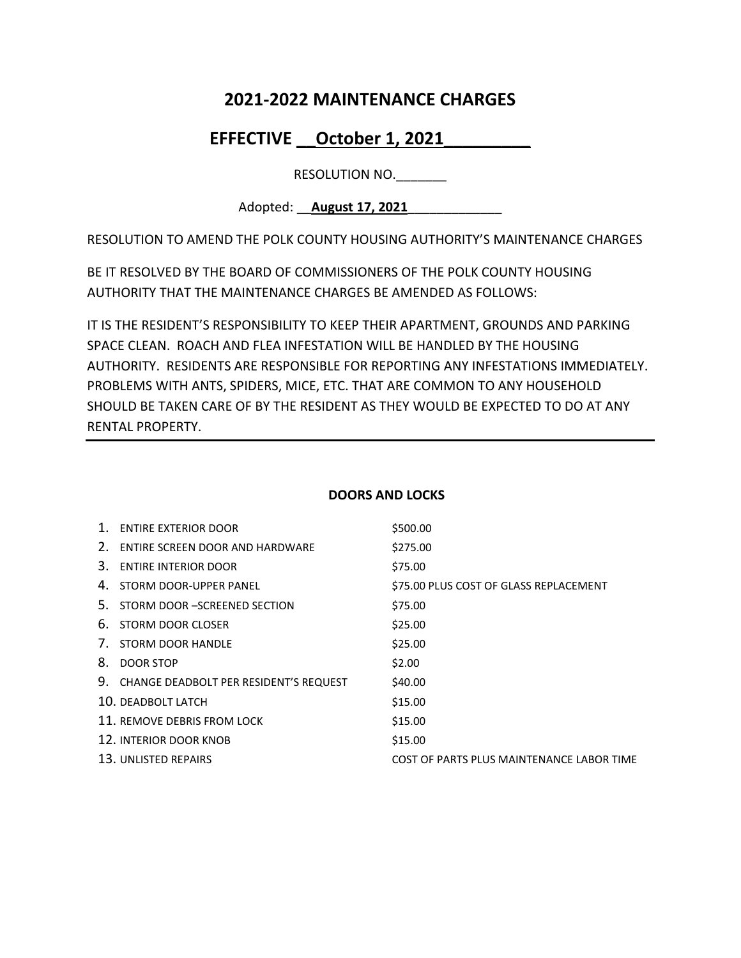# **2021-2022 MAINTENANCE CHARGES**

# EFFECTIVE October 1, 2021

RESOLUTION NO.

Adopted: \_\_**August 17, 2021**\_\_\_\_\_\_\_\_\_\_\_\_\_

RESOLUTION TO AMEND THE POLK COUNTY HOUSING AUTHORITY'S MAINTENANCE CHARGES

BE IT RESOLVED BY THE BOARD OF COMMISSIONERS OF THE POLK COUNTY HOUSING AUTHORITY THAT THE MAINTENANCE CHARGES BE AMENDED AS FOLLOWS:

IT IS THE RESIDENT'S RESPONSIBILITY TO KEEP THEIR APARTMENT, GROUNDS AND PARKING SPACE CLEAN. ROACH AND FLEA INFESTATION WILL BE HANDLED BY THE HOUSING AUTHORITY. RESIDENTS ARE RESPONSIBLE FOR REPORTING ANY INFESTATIONS IMMEDIATELY. PROBLEMS WITH ANTS, SPIDERS, MICE, ETC. THAT ARE COMMON TO ANY HOUSEHOLD SHOULD BE TAKEN CARE OF BY THE RESIDENT AS THEY WOULD BE EXPECTED TO DO AT ANY RENTAL PROPERTY.

| $\mathbf{1}$ . | <b>ENTIRE EXTERIOR DOOR</b>               | \$500.00                                  |
|----------------|-------------------------------------------|-------------------------------------------|
|                | 2. ENTIRE SCREEN DOOR AND HARDWARE        | \$275.00                                  |
| 3.             | <b>ENTIRE INTERIOR DOOR</b>               | \$75.00                                   |
|                | 4. STORM DOOR-UPPER PANEL                 | \$75.00 PLUS COST OF GLASS REPLACEMENT    |
| 5.             | STORM DOOR -SCREENED SECTION              | \$75.00                                   |
| 6.             | STORM DOOR CLOSER                         | \$25.00                                   |
|                | 7. STORM DOOR HANDLE                      | \$25.00                                   |
| 8.             | <b>DOOR STOP</b>                          | \$2.00                                    |
|                | 9. CHANGE DEADBOLT PER RESIDENT'S REQUEST | \$40.00                                   |
|                | 10. DEADBOLT LATCH                        | \$15.00                                   |
|                | 11. REMOVE DEBRIS FROM LOCK               | \$15.00                                   |
|                | 12. INTERIOR DOOR KNOB                    | \$15.00                                   |
|                | 13. UNLISTED REPAIRS                      | COST OF PARTS PLUS MAINTENANCE LABOR TIME |

## **DOORS AND LOCKS**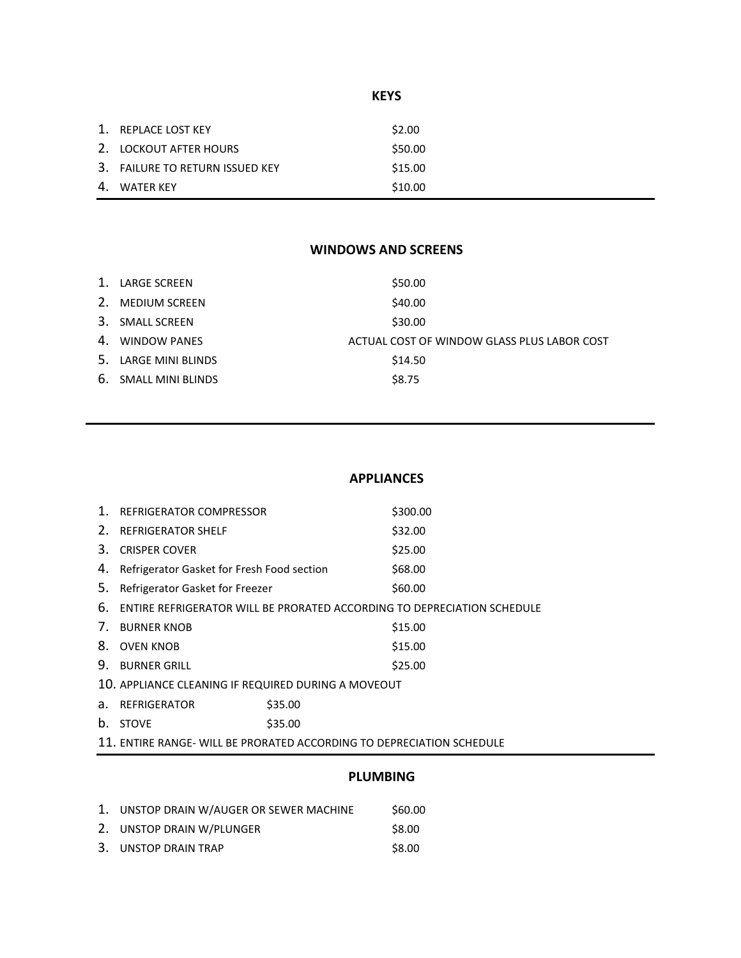# **KEYS**

| 1. REPLACE LOST KEY             | \$2.00  |
|---------------------------------|---------|
| 2. LOCKOUT AFTER HOURS          | \$50.00 |
| 3. FAILURE TO RETURN ISSUED KEY | \$15.00 |
| 4. WATER KEY                    | \$10.00 |

## **WINDOWS AND SCREENS**

| $\mathbf{1}$ . | LARGE SCREEN         | \$50.00                                     |
|----------------|----------------------|---------------------------------------------|
|                | 2. MEDIUM SCREEN     | \$40.00                                     |
|                | 3. SMALL SCREEN      | \$30.00                                     |
|                | 4. WINDOW PANES      | ACTUAL COST OF WINDOW GLASS PLUS LABOR COST |
|                | 5. LARGE MINI BLINDS | \$14.50                                     |
|                | 6. SMALL MINI BLINDS | \$8.75                                      |
|                |                      |                                             |

#### **APPLIANCES**

| 1. | REFRIGERATOR COMPRESSOR                                               |         | \$300.00                                                                |
|----|-----------------------------------------------------------------------|---------|-------------------------------------------------------------------------|
| 2. | <b>REFRIGERATOR SHELF</b>                                             |         | \$32.00                                                                 |
| 3. | <b>CRISPER COVER</b>                                                  |         | \$25.00                                                                 |
| 4. | Refrigerator Gasket for Fresh Food section                            |         | \$68.00                                                                 |
| 5. | Refrigerator Gasket for Freezer                                       |         | \$60.00                                                                 |
| 6. |                                                                       |         | ENTIRE REFRIGERATOR WILL BE PRORATED ACCORDING TO DEPRECIATION SCHEDULE |
| 7. | <b>BURNER KNOB</b>                                                    |         | \$15.00                                                                 |
| 8. | <b>OVEN KNOB</b>                                                      |         | \$15.00                                                                 |
| 9. | <b>BURNER GRILL</b>                                                   |         | \$25.00                                                                 |
|    | 10. APPLIANCE CLEANING IF REQUIRED DURING A MOVEOUT                   |         |                                                                         |
| a. | REFRIGERATOR                                                          | \$35.00 |                                                                         |
| b. | <b>STOVE</b>                                                          | \$35.00 |                                                                         |
|    | 11. ENTIRE RANGE- WILL BE PRORATED ACCORDING TO DEPRECIATION SCHEDULE |         |                                                                         |
|    |                                                                       |         |                                                                         |

## **PLUMBING**

| 1. UNSTOP DRAIN W/AUGER OR SEWER MACHINE | \$60.00 |
|------------------------------------------|---------|
| 2. UNSTOP DRAIN W/PLUNGER                | \$8.00  |

3. UNSTOP DRAIN TRAP \$8.00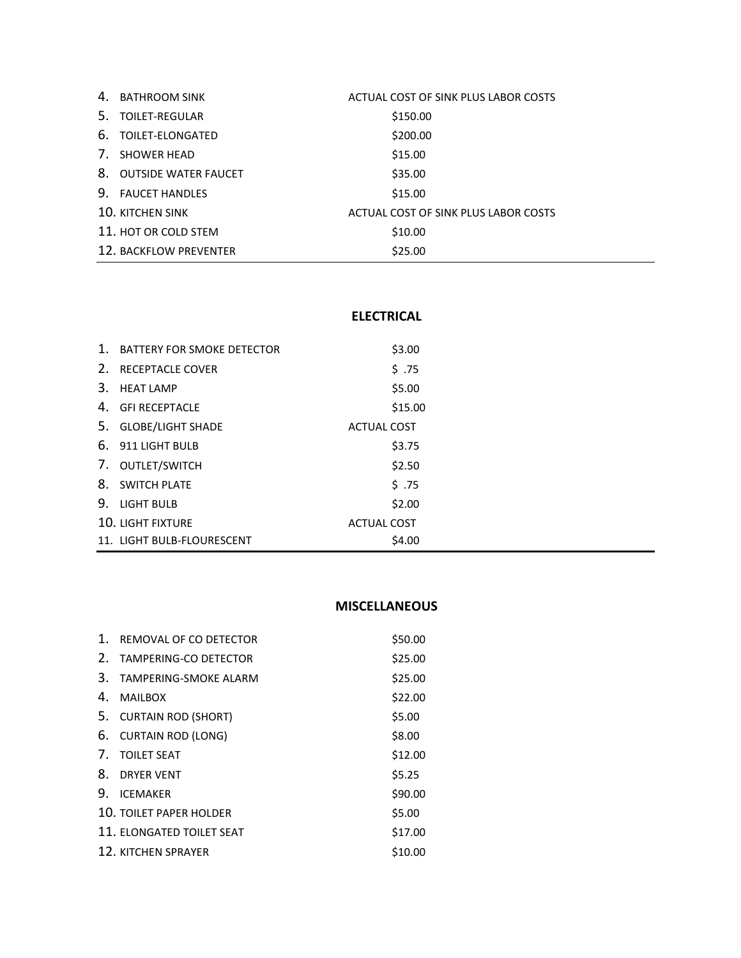|             | 4. BATHROOM SINK        | ACTUAL COST OF SINK PLUS LABOR COSTS |
|-------------|-------------------------|--------------------------------------|
| .5.         | TOILET-REGULAR          | \$150.00                             |
|             | 6. TOILET-ELONGATED     | \$200.00                             |
| $7_{\odot}$ | SHOWER HEAD             | \$15.00                              |
|             | 8. OUTSIDE WATER FAUCET | \$35.00                              |
| 9.          | <b>FAUCET HANDLES</b>   | \$15.00                              |
|             | <b>10. KITCHEN SINK</b> | ACTUAL COST OF SINK PLUS LABOR COSTS |
|             | 11. HOT OR COLD STEM    | \$10.00                              |
|             | 12. BACKFLOW PREVENTER  | \$25.00                              |

## **ELECTRICAL**

| 1. | <b>BATTERY FOR SMOKE DETECTOR</b> | \$3.00             |  |
|----|-----------------------------------|--------------------|--|
| 2. | <b>RECEPTACLE COVER</b>           | \$.75              |  |
| 3. | <b>HEAT LAMP</b>                  | \$5.00             |  |
| 4. | <b>GFI RECEPTACLE</b>             | \$15.00            |  |
| 5. | <b>GLOBE/LIGHT SHADE</b>          | <b>ACTUAL COST</b> |  |
|    | 6. 911 LIGHT BULB                 | \$3.75             |  |
|    | 7. OUTLET/SWITCH                  | \$2.50             |  |
| 8. | <b>SWITCH PLATE</b>               | \$.75              |  |
| 9. | LIGHT BULB                        | \$2.00             |  |
|    | <b>10. LIGHT FIXTURE</b>          | <b>ACTUAL COST</b> |  |
|    | 11. LIGHT BULB-FLOURESCENT        | \$4.00             |  |

### **MISCELLANEOUS**

| 1.          | REMOVAL OF CO DETECTOR         | \$50.00 |
|-------------|--------------------------------|---------|
| $2_{\odot}$ | TAMPERING-CO DETECTOR          | \$25.00 |
| 3.          | TAMPERING-SMOKE ALARM          | \$25.00 |
| 4.          | <b>MAILBOX</b>                 | \$22.00 |
| 5.          | <b>CURTAIN ROD (SHORT)</b>     | \$5.00  |
| 6.          | <b>CURTAIN ROD (LONG)</b>      | \$8.00  |
| 7.          | <b>TOILET SEAT</b>             | \$12.00 |
| 8.          | <b>DRYER VENT</b>              | \$5.25  |
| 9.          | <b>ICFMAKFR</b>                | \$90.00 |
|             | <b>10. TOILET PAPER HOLDER</b> | \$5.00  |
|             | 11. ELONGATED TOILET SEAT      | \$17.00 |
|             | <b>12. KITCHEN SPRAYER</b>     | \$10.00 |